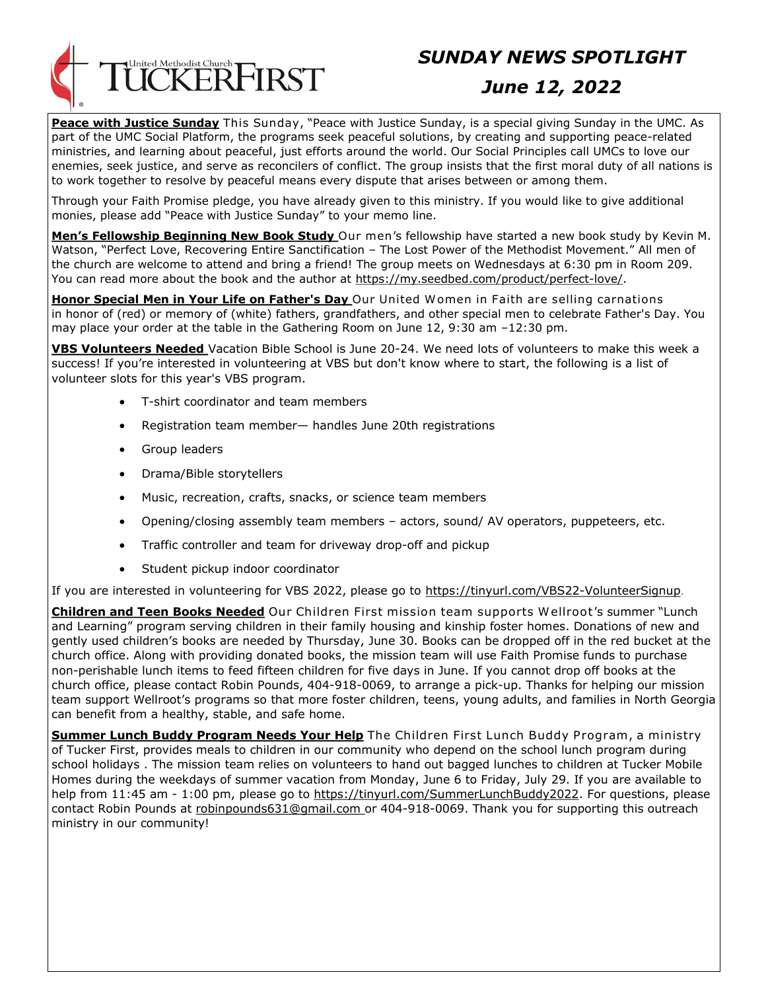

# *SUNDAY NEWS SPOTLIGHT*

## *June 12, 2022*

**Peace with Justice Sunday** This Sunday, "Peace with Justice Sunday, is a special giving Sunday in the UMC. As part of the UMC Social Platform, the programs seek peaceful solutions, by creating and supporting peace-related ministries, and learning about peaceful, just efforts around the world. Our Social Principles call UMCs to love our enemies, seek justice, and serve as reconcilers of conflict. The group insists that the first moral duty of all nations is to work together to resolve by peaceful means every dispute that arises between or among them.

Through your Faith Promise pledge, you have already given to this ministry. If you would like to give additional monies, please add "Peace with Justice Sunday" to your memo line.

**Men's Fellowship Beginning New Book Study** Our men's fellowship have started a new book study by Kevin M. Watson, "Perfect Love, Recovering Entire Sanctification – The Lost Power of the Methodist Movement." All men of the church are welcome to attend and bring a friend! The group meets on Wednesdays at 6:30 pm in Room 209. You can read more about the book and the author at https://my.seedbed.com/product/perfect-love/.

**Honor Special Men in Your Life on Father's Day** Our United W omen in Faith are selling carnations in honor of (red) or memory of (white) fathers, grandfathers, and other special men to celebrate Father's Day. You may place your order at the table in the Gathering Room on June 12, 9:30 am –12:30 pm.

**VBS Volunteers Needed** Vacation Bible School is June 20-24. We need lots of volunteers to make this week a success! If you're interested in volunteering at VBS but don't know where to start, the following is a list of volunteer slots for this year's VBS program.

- T-shirt coordinator and team members
- Registration team member— handles June 20th registrations
- Group leaders
- Drama/Bible storytellers
- Music, recreation, crafts, snacks, or science team members
- Opening/closing assembly team members actors, sound/ AV operators, puppeteers, etc.
- Traffic controller and team for driveway drop-off and pickup
- Student pickup indoor coordinator

If you are interested in volunteering for VBS 2022, please go to https://tinyurl.com/VBS22-VolunteerSignup.

**Children and Teen Books Needed** Our Children First mission team supports W ellroot's summer "Lunch and Learning" program serving children in their family housing and kinship foster homes. Donations of new and gently used children's books are needed by Thursday, June 30. Books can be dropped off in the red bucket at the church office. Along with providing donated books, the mission team will use Faith Promise funds to purchase non-perishable lunch items to feed fifteen children for five days in June. If you cannot drop off books at the church office, please contact Robin Pounds, 404-918-0069, to arrange a pick-up. Thanks for helping our mission team support Wellroot's programs so that more foster children, teens, young adults, and families in North Georgia can benefit from a healthy, stable, and safe home.

**Summer Lunch Buddy Program Needs Your Help** The Children First Lunch Buddy Program, a ministry of Tucker First, provides meals to children in our community who depend on the school lunch program during school holidays . The mission team relies on volunteers to hand out bagged lunches to children at Tucker Mobile Homes during the weekdays of summer vacation from Monday, June 6 to Friday, July 29. If you are available to help from 11:45 am - 1:00 pm, please go to https://tinyurl.com/SummerLunchBuddy2022. For questions, please contact Robin Pounds at robinpounds631@gmail.com or 404-918-0069. Thank you for supporting this outreach ministry in our community!